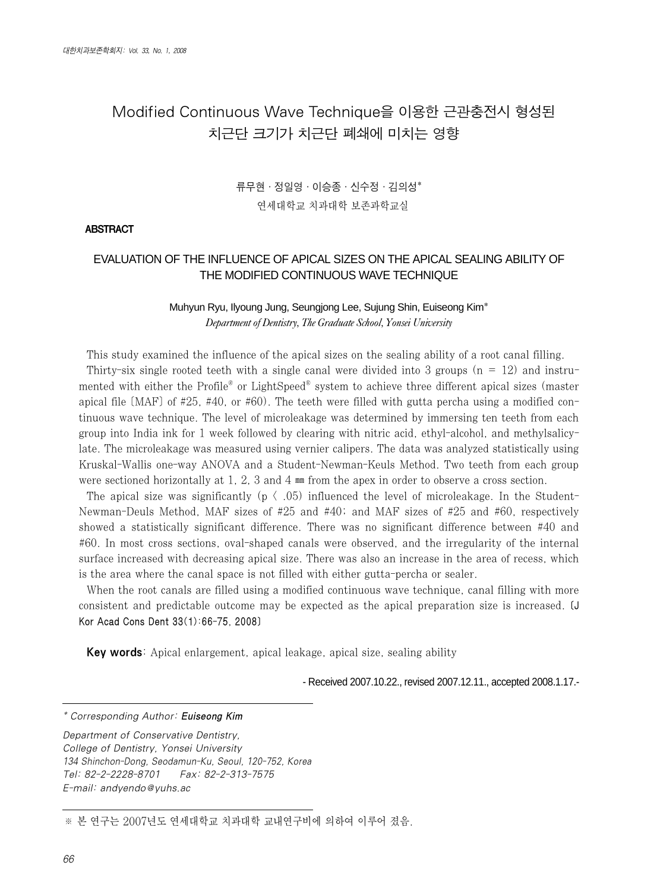# Modified Continuous Wave Technique을 이용한 근관충전시 형성된 치근단 크기가 치근단 폐쇄에 미치는 영향

# 류무현∙정일영∙이승종∙신수정∙김의성\* 연세대학교 치과대학 보존과학교실

#### ABSTRACT

## EVALUATION OF THE INFLUENCE OF APICAL SIZES ON THE APICAL SEALING ABILITY OF THE MODIFIED CONTINUOUS WAVE TECHNIQUE

### Muhyun Ryu, Ilyoung Jung, Seungjong Lee, Sujung Shin, Euiseong Kim\* *Department of Dentistry, The Graduate School, Yonsei University*

This study examined the influence of the apical sizes on the sealing ability of a root canal filling. Thirty-six single rooted teeth with a single canal were divided into 3 groups ( $n = 12$ ) and instrumented with either the Profile<sup>®</sup> or LightSpeed<sup>®</sup> system to achieve three different apical sizes (master apical file  $(MAF)$  of #25, #40, or #60). The teeth were filled with gutta percha using a modified continuous wave technique. The level of microleakage was determined by immersing ten teeth from each group into India ink for 1 week followed by clearing with nitric acid, ethyl-alcohol, and methylsalicylate. The microleakage was measured using vernier calipers. The data was analyzed statistically using Kruskal-Wallis one-way ANOVA and a Student-Newman-Keuls Method. Two teeth from each group were sectioned horizontally at 1, 2, 3 and 4 ㎜ from the apex in order to observe a cross section.

The apical size was significantly ( $p \langle .05 \rangle$ ) influenced the level of microleakage. In the Student-Newman-Deuls Method, MAF sizes of #25 and #40; and MAF sizes of #25 and #60, respectively showed a statistically significant difference. There was no significant difference between #40 and #60. In most cross sections, oval-shaped canals were observed, and the irregularity of the internal surface increased with decreasing apical size. There was also an increase in the area of recess, which is the area where the canal space is not filled with either gutta-percha or sealer.

When the root canals are filled using a modified continuous wave technique, canal filling with more consistent and predictable outcome may be expected as the apical preparation size is increased. [J Kor Acad Cons Dent 33(1):66-75, 2008]

Key words: Apical enlargement, apical leakage, apical size, sealing ability

- Received 2007.10.22., revised 2007.12.11., accepted 2008.1.17.-

\* Corresponding Author: Euiseong Kim

Department of Conservative Dentistry, College of Dentistry, Yonsei University 134 Shinchon-Dong, Seodamun-Ku, Seoul, 120-752, Korea Tel: 82-2-2228-8701 Fax: 82-2-313-7575 E-mail: andyendo@yuhs.ac

※ 본 연구는 2007년도 연세대학교 치과대학 교내연구비에 의하여 이루어 졌음.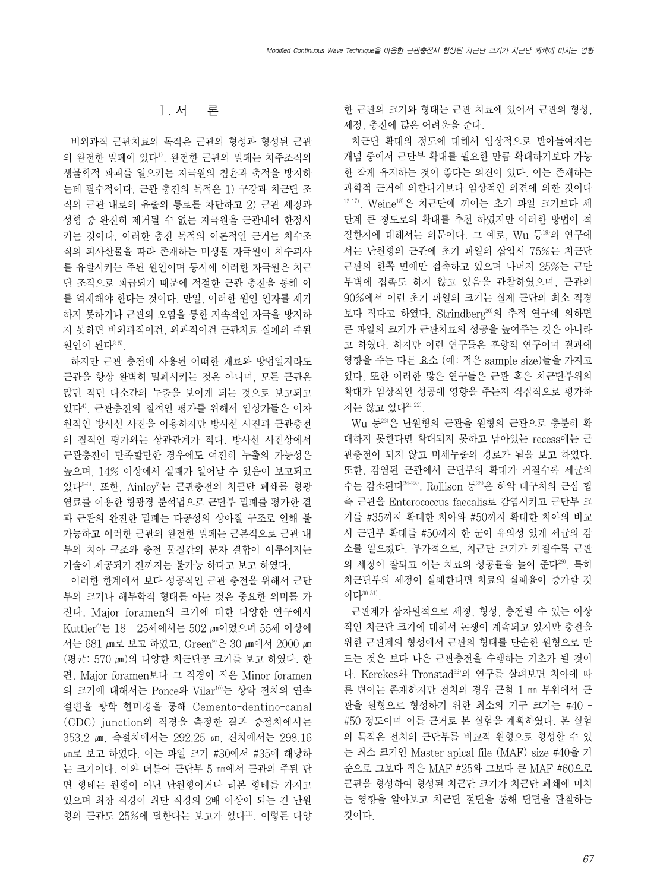# Ⅰ. 서 론

비외과적 근관치료의 목적은 근관의 형성과 형성된 근관 의 완전한 밀폐에 있다1). 완전한 근관의 밀폐는 치주조직의 생물학적 파괴를 일으키는 자극원의 침윤과 축적을 방지하 는데 필수적이다. 근관 충전의 목적은 1) 구강과 치근단 조 직의 근관 내로의 유출의 통로를 차단하고 2) 근관 세정과 성형 중 완전히 제거될 수 없는 자극원을 근관내에 한정시 키는 것이다. 이러한 충전 목적의 이론적인 근거는 치수조 직의 괴사산물을 따라 존재하는 미생물 자극원이 치수괴사 를 유발시키는 주된 원인이며 동시에 이러한 자극원은 치근 단 조직으로 파급되기 때문에 적절한 근관 충전을 통해 이 를 억제해야 한다는 것이다. 만일, 이러한 원인 인자를 제거 하지 못하거나 근관의 오염을 통한 지속적인 자극을 방지하 지 못하면 비외과적이건, 외과적이건 근관치료 실패의 주된 원인이 된다2-5).

하지만 근관 충전에 사용된 어떠한 재료와 방법일지라도 근관을 항상 완벽히 밀폐시키는 것은 아니며, 모든 근관은 많던 적던 다소간의 누출을 보이게 되는 것으로 보고되고 있다4). 근관충전의 질적인 평가를 위해서 임상가들은 이차 원적인 방사선 사진을 이용하지만 방사선 사진과 근관충전 의 질적인 평가와는 상관관계가 적다. 방사선 사진상에서 근관충전이 만족할만한 경우에도 여전히 누출의 가능성은 높으며, 14% 이상에서 실패가 일어날 수 있음이 보고되고 있다5-6). 또한, Ainley7)는 근관충전의 치근단 폐쇄를 형광 염료를 이용한 형광경 분석법으로 근단부 밀폐를 평가한 결 과 근관의 완전한 밀폐는 다공성의 상아질 구조로 인해 불 가능하고 이러한 근관의 완전한 밀폐는 근본적으로 근관 내 부의 치아 구조와 충전 물질간의 분자 결합이 이루어지는 기술이 제공되기 전까지는 불가능 하다고 보고 하였다.

이러한 한계에서 보다 성공적인 근관 충전을 위해서 근단 부의 크기나 해부학적 형태를 아는 것은 중요한 의미를 가 진다. Major foramen의 크기에 대한 다양한 연구에서 Kuttler<sup>8</sup>는 18 - 25세에서는 502 மா 있으며 55세 이상에 서는 681 ன로 보고 하였고, Green<sup>9)</sup>은 30 ன에서 2000 ன (평균: 570 ㎛)의 다양한 치근단공 크기를 보고 하였다. 한 편, Major foramen보다 그 직경이 작은 Minor foramen 의 크기에 대해서는 Ponce와 Vilar10)는 상악 전치의 연속 절편을 광학 현미경을 통해 Cemento-dentino-canal (CDC) junction의 직경을 측정한 결과 중절치에서는 353.2 ㎛, 측절치에서는 292.25 ㎛, 견치에서는 298.16 ㎛로 보고 하였다. 이는 파일 크기 #30에서 #35에 해당하 는 크기이다. 이와 더불어 근단부 5 ㎜에서 근관의 주된 단 면 형태는 원형이 아닌 난원형이거나 리본 형태를 가지고 있으며 최장 직경이 최단 직경의 2배 이상이 되는 긴 난원 형의 근관도 25%에 달한다는 보고가 있다"1. 이렇든 다양 한 근관의 크기와 형태는 근관 치료에 있어서 근관의 형성, 세정, 충전에 많은 어려움을 준다.

치근단 확대의 정도에 대해서 임상적으로 받아들여지는 개념 중에서 근단부 확대를 필요한 만큼 확대하기보다 가능 한 작게 유지하는 것이 좋다는 의견이 있다. 이는 존재하는 과학적 근거에 의한다기보다 임상적인 의견에 의한 것이다  $12-17$ ). Weine $18$ )은 치근단에 끼이는 초기 파일 크기보다 세 단계 큰 정도로의 확대를 추천 하였지만 이러한 방법이 적 절한지에 대해서는 의문이다. 그 예로, Wu 등19)의 연구에 서는 난원형의 근관에 초기 파일의 삽입시 75%는 치근단 근관의 한쪽 면에만 접촉하고 있으며 나머지 25%는 근단 부벽에 접촉도 하지 않고 있음을 관찰하였으며, 근관의 90%에서 이런 초기 파일의 크기는 실제 근단의 최소 직경 보다 작다고 하였다. Strindberg<sup>20)</sup>의 추적 연구에 의하면 큰 파일의 크기가 근관치료의 성공을 높여주는 것은 아니라 고 하였다. 하지만 이런 연구들은 후향적 연구이며 결과에 영향을 주는 다른 요소 (예: 적은 sample size)들을 가지고 있다. 또한 이러한 많은 연구들은 근관 혹은 치근단부위의 확대가 임상적인 성공에 영향을 주는지 직접적으로 평가하 지는 않고 있다21-22).

Wu 등23)은 난원형의 근관을 원형의 근관으로 충분히 확 대하지 못한다면 확대되지 못하고 남아있는 recess에는 근 관충전이 되지 않고 미세누출의 경로가 됨을 보고 하였다. 또한, 감염된 근관에서 근단부의 확대가 커질수록 세균의 수는 감소된다24-28). Rollison 등26)은 하악 대구치의 근심 협 측 근관을 Enterococcus faecalis로 감염시키고 근단부 크 기를 #35까지 확대한 치아와 #50까지 확대한 치아의 비교 시 근단부 확대를 #50까지 한 군이 유의성 있게 세균의 감 소를 일으켰다. 부가적으로, 치근단 크기가 커질수록 근관 의 세정이 잘되고 이는 치료의 성공률을 높여 준다<sup>29)</sup>. 특히 치근단부의 세정이 실패한다면 치료의 실패율이 증가할 것 이다30-31).

근관계가 삼차원적으로 세정, 형성, 충전될 수 있는 이상 적인 치근단 크기에 대해서 논쟁이 계속되고 있지만 충전을 위한 근관계의 형성에서 근관의 형태를 단순한 원형으로 만 드는 것은 보다 나은 근관충전을 수행하는 기초가 될 것이 다. Kerekes와 Tronstad32)의 연구를 살펴보면 치아에 따 른 변이는 존재하지만 전치의 경우 근첨 1 ㎜ 부위에서 근 관을 원형으로 형성하기 위한 최소의 기구 크기는 #40 - #50 정도이며 이를 근거로 본 실험을 계획하였다. 본 실험 의 목적은 전치의 근단부를 비교적 원형으로 형성할 수 있 는 최소 크기인 Master apical file (MAF) size #40을 기 준으로 그보다 작은 MAF #25와 그보다 큰 MAF #60으로 근관을 형성하여 형성된 치근단 크기가 치근단 폐쇄에 미치 는 영향을 알아보고 치근단 절단을 통해 단면을 관찰하는 것이다.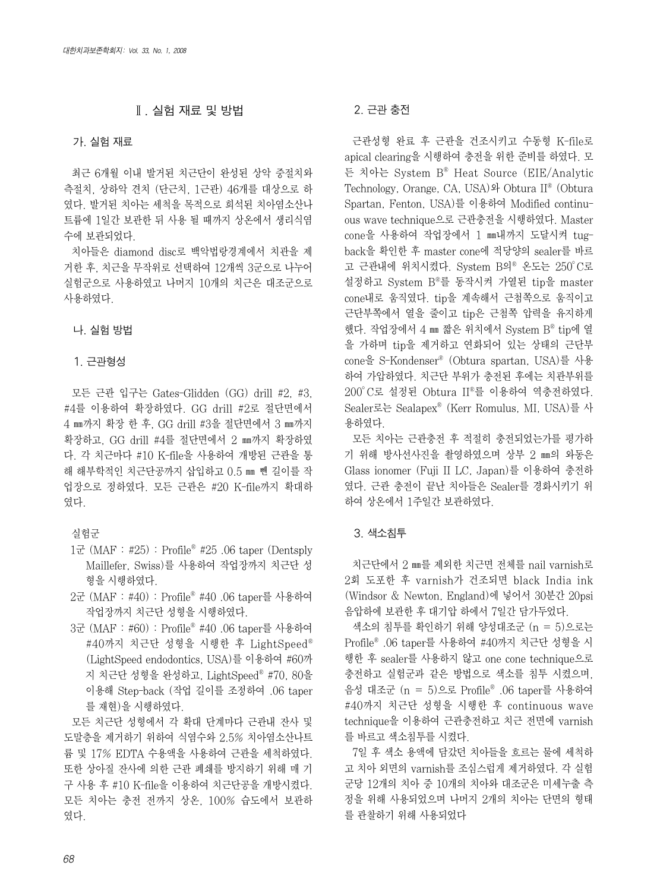### Ⅱ. 실험 재료 및 방법

#### 가. 실험 재료

최근 6개월 이내 발거된 치근단이 완성된 상악 중절치와 측절치, 상하악 견치 (단근치, 1근관) 46개를 대상으로 하 였다. 발거된 치아는 세척을 목적으로 희석된 치아염소산나 트륨에 1일간 보관한 뒤 사용 될 때까지 상온에서 생리식염 수에 보관되었다.

치아들은 diamond disc로 백악법랑경계에서 치관을 제 거한 후, 치근을 무작위로 선택하여 12개씩 3군으로 나누어 실험군으로 사용하였고 나머지 10개의 치근은 대조군으로 사용하였다.

#### 나. 실험 방법

#### 1. 근관형성

모든 근관 입구는 Gates-Glidden (GG) drill #2, #3, #4를 이용하여 확장하였다. GG drill #2로 절단면에서 4 ㎜까지 확장 한 후, GG drill #3을 절단면에서 3 ㎜까지 확장하고, GG drill #4를 절단면에서 2 ㎜까지 확장하였 다. 각 치근마다 #10 K-file을 사용하여 개방된 근관을 통 해 해부학적인 치근단공까지 삽입하고 0.5 ㎜ 뺀 길이를 작 업장으로 정하였다. 모든 근관은 #20 K-file까지 확대하 였다.

#### 실험군

- 1군 (MAF : #25) : Profile� #25 .06 taper (Dentsply Maillefer, Swiss)를 사용하여 작업장까지 치근단 성 형을 시행하였다.
- 2군 (MAF : #40) : Profile� #40 .06 taper를 사용하여 작업장까지 치근단 성형을 시행하였다.
- 3군 (MAF : #60) : Profile� #40 .06 taper를 사용하여 #40까지 치근단 성형을 시행한 후 LightSpeed® (LightSpeed endodontics, USA)를 이용하여 #60까 지 치근단 성형을 완성하고, LightSpeed� #70, 80을 이용해 Step-back (작업 길이를 조정하여 .06 taper 를 재현)을 시행하였다.

모든 치근단 성형에서 각 확대 단계마다 근관내 잔사 및 도말층을 제거하기 위하여 식염수와 2.5% 치아염소산나트 륨 및 17% EDTA 수용액을 사용하여 근관을 세척하였다. 또한 상아질 잔사에 의한 근관 폐쇄를 방지하기 위해 매 기 구 사용 후 #10 K-file을 이용하여 치근단공을 개방시켰다. 모든 치아는 충전 전까지 상온, 100% 습도에서 보관하 였다.

#### 2. 근관 충전

근관성형 완료 후 근관을 건조시키고 수동형 K-file로 apical clearing을 시행하여 충전을 위한 준비를 하였다. 모 든 치아는 System B� Heat Source (EIE/Analytic Technology, Orange, CA, USA)와 Obtura II� (Obtura Spartan, Fenton, USA)를 이용하여 Modified continuous wave technique으로 근관충전을 시행하였다. Master cone을 사용하여 작업장에서 1 ㎜내까지 도달시켜 tugback을 확인한 후 master cone에 적당양의 sealer를 바르 고 근관내에 위치시켰다. System B의® 온도는 250°C로 설정하고 System B�를 동작시켜 가열된 tip을 master cone내로 움직였다. tip을 계속해서 근첨쪽으로 움직이고 근단부쪽에서 열을 줄이고 tip은 근첨쪽 압력을 유지하게 했다. 작업장에서 4 ㎜ 짧은 위치에서 System  $B<sup>®</sup>$  tip에 열 을 가하며 tip을 제거하고 연화되어 있는 상태의 근단부 cone을 S-Kondenser� (Obtura spartan, USA)를 사용 하여 가압하였다. 치근단 부위가 충전된 후에는 치관부위를 200�C로 설정된 Obtura II�를 이용하여 역충전하였다. Sealer로는 Sealapex� (Kerr Romulus, MI, USA)를 사 용하였다.

모든 치아는 근관충전 후 적절히 충전되었는가를 평가하 기 위해 방사선사진을 촬영하였으며 상부 2 ㎜의 와동은 Glass ionomer (Fuji II LC, Japan)를 이용하여 충전하 였다. 근관 충전이 끝난 치아들은 Sealer를 경화시키기 위 하여 상온에서 1주일간 보관하였다.

#### 3. 색소침투

치근단에서 2 ㎜를 제외한 치근면 전체를 nail varnish로 2회 도포한 후 varnish가 건조되면 black India ink (Windsor & Newton, England)에 넣어서 30분간 20psi 음압하에 보관한 후 대기압 하에서 7일간 담가두었다.

색소의 침투를 확인하기 위해 양성대조군 (n = 5)으로는 Profile� .06 taper를 사용하여 #40까지 치근단 성형을 시 행한 후 sealer를 사용하지 않고 one cone technique으로 충전하고 실험군과 같은 방법으로 색소를 침투 시켰으며, 음성 대조군 (n = 5)으로 Profile� .06 taper를 사용하여 #40까지 치근단 성형을 시행한 후 continuous wave technique을 이용하여 근관충전하고 치근 전면에 varnish 를 바르고 색소침투를 시켰다.

7일 후 색소 용액에 담갔던 치아들을 흐르는 물에 세척하 고 치아 외면의 varnish를 조심스럽게 제거하였다. 각 실험 군당 12개의 치아 중 10개의 치아와 대조군은 미세누출 측 정을 위해 사용되었으며 나머지 2개의 치아는 단면의 형태 를 관찰하기 위해 사용되었다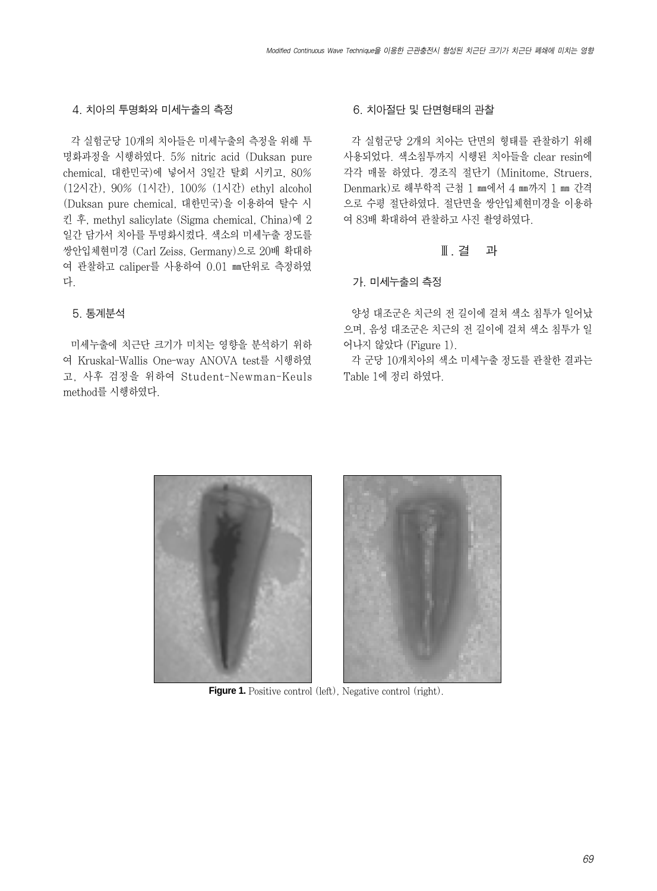#### 4. 치아의 투명화와 미세누출의 측정

각 실험군당 10개의 치아들은 미세누출의 측정을 위해 투 명화과정을 시행하였다. 5% nitric acid (Duksan pure chemical, 대한민국)에 넣어서 3일간 탈회 시키고, 80% (12시간), 90% (1시간), 100% (1시간) ethyl alcohol (Duksan pure chemical, 대한민국)을 이용하여 탈수 시 킨 후, methyl salicylate (Sigma chemical, China)에 2 일간 담가서 치아를 투명화시켰다. 색소의 미세누출 정도를 쌍안입체현미경 (Carl Zeiss, Germany)으로 20배 확대하 여 관찰하고 caliper를 사용하여 0.01 ㎜단위로 측정하였 다.

#### 5. 통계분석

미세누출에 치근단 크기가 미치는 영향을 분석하기 위하 여 Kruskal-Wallis One-way ANOVA test를 시행하였 고, 사후 검정을 위하여 Student-Newman-Keuls method를 시행하였다.

#### 6. 치아절단 및 단면형태의 관찰

각 실험군당 2개의 치아는 단면의 형태를 관찰하기 위해 사용되었다. 색소침투까지 시행된 치아들을 clear resin에 각각 매몰 하였다. 경조직 절단기 (Minitome, Struers, Denmark)로 해부학적 근첨 1 ㎜에서 4 ㎜까지 1 ㎜ 간격 으로 수평 절단하였다. 절단면을 쌍안입체현미경을 이용하 여 83배 확대하여 관찰하고 사진 촬영하였다.

### Ⅲ. 결 과

#### 가. 미세누출의 측정

양성 대조군은 치근의 전 길이에 걸쳐 색소 침투가 일어났 으며, 음성 대조군은 치근의 전 길이에 걸쳐 색소 침투가 일 어나지 않았다 (Figure 1).

각 군당 10개치아의 색소 미세누출 정도를 관찰한 결과는 Table 1에 정리 하였다.



**Figure 1.** Positive control (left), Negative control (right).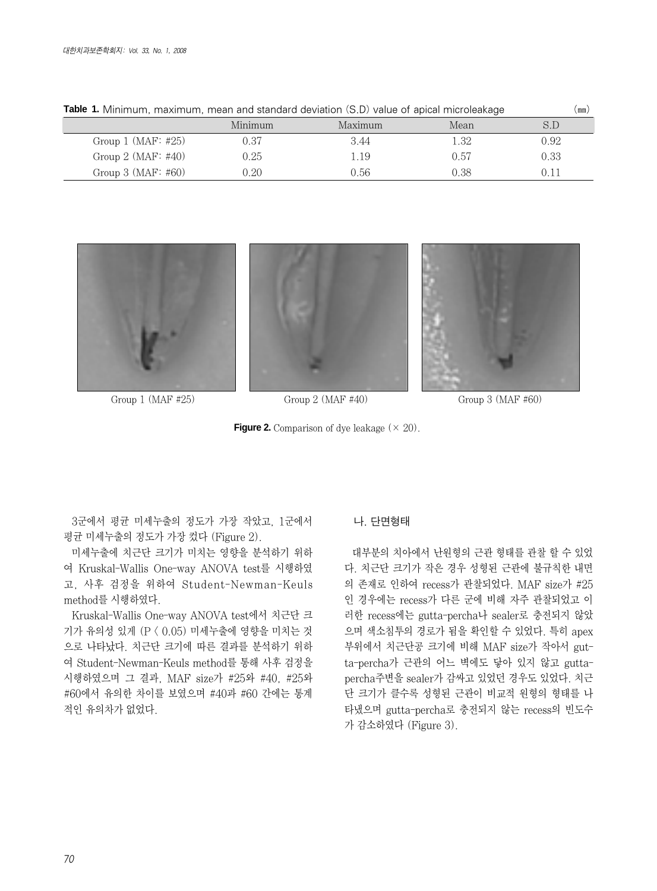| <b>Table 1.</b> Minimum, maximum, mean and standard deviation (S.D) value of apical microleakage |         |         |      | (mm) |
|--------------------------------------------------------------------------------------------------|---------|---------|------|------|
|                                                                                                  | Minimum | Maximum | Mean | S.D  |
| Group $1$ (MAF: #25)                                                                             | 0.37    | 3.44    | 1.32 | 0.92 |
| Group $2$ (MAF: #40)                                                                             | 0.25    | 1.19    | 0.57 | 0.33 |
| Group $3$ (MAF: #60)                                                                             | 0.20    | 0.56    | 0.38 |      |



Group 1 (MAF #25) Group 2 (MAF #40) Group 3 (MAF #60)

**Figure 2.** Comparison of dye leakage  $(\times 20)$ .

3군에서 평균 미세누출의 정도가 가장 작았고, 1군에서 평균 미세누출의 정도가 가장 컸다 (Figure 2).

미세누출에 치근단 크기가 미치는 영향을 분석하기 위하 여 Kruskal-Wallis One-way ANOVA test를 시행하였 고, 사후 검정을 위하여 Student-Newman-Keuls method를 시행하였다.

Kruskal-Wallis One-way ANOVA test에서 치근단 크 기가 유의성 있게 (P < 0.05) 미세누출에 영향을 미치는 것 으로 나타났다. 치근단 크기에 따른 결과를 분석하기 위하 여 Student-Newman-Keuls method를 통해 사후 검정을 시행하였으며 그 결과, MAF size가 #25와 #40, #25와 #60에서 유의한 차이를 보였으며 #40과 #60 간에는 통계 적인 유의차가 없었다.

### 나. 단면형태

대부분의 치아에서 난원형의 근관 형태를 관찰 할 수 있었 다. 치근단 크기가 작은 경우 성형된 근관에 불규칙한 내면 의 존재로 인하여 recess가 관찰되었다. MAF size가 #25 인 경우에는 recess가 다른 군에 비해 자주 관찰되었고 이 러한 recess에는 gutta-percha나 sealer로 충전되지 않았 으며 색소침투의 경로가 됨을 확인할 수 있었다. 특히 apex 부위에서 치근단공 크기에 비해 MAF size가 작아서 gutta-percha가 근관의 어느 벽에도 닿아 있지 않고 guttapercha주변을 sealer가 감싸고 있었던 경우도 있었다. 치근 단 크기가 클수록 성형된 근관이 비교적 원형의 형태를 나 타냈으며 gutta-percha로 충전되지 않는 recess의 빈도수 가 감소하였다 (Figure 3).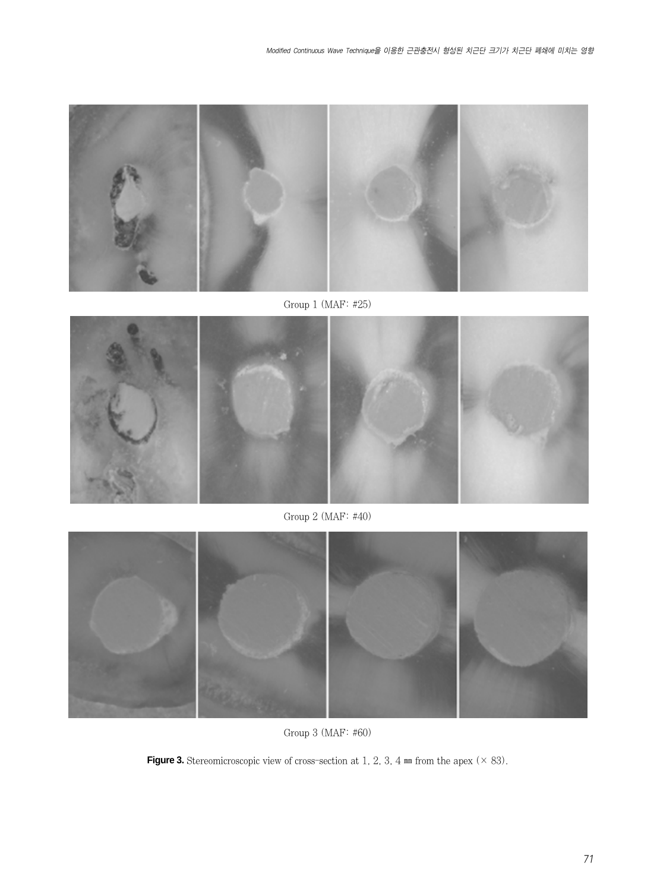

Group 1 (MAF: #25)



Group 2 (MAF: #40)



Group 3 (MAF: #60)

**Figure 3.** Stereomicroscopic view of cross-section at 1, 2, 3, 4  $mm$  from the apex ( $\times$  83).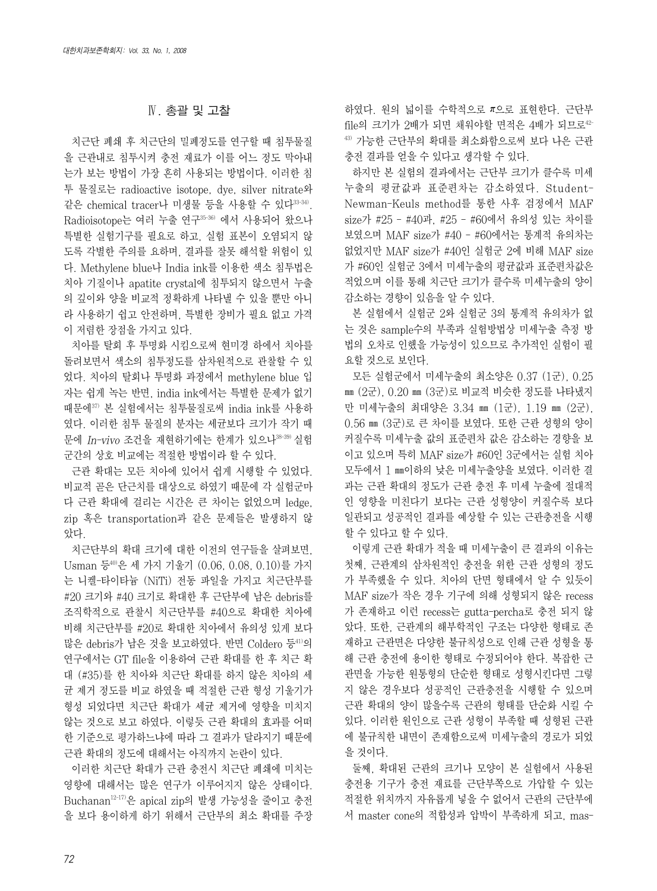### Ⅳ. 총괄 및 고찰

치근단 폐쇄 후 치근단의 밀폐정도를 연구할 때 침투물질 을 근관내로 침투시켜 충전 재료가 이를 어느 정도 막아내 는가 보는 방법이 가장 흔히 사용되는 방법이다. 이러한 침 투 물질로는 radioactive isotope, dye, silver nitrate와 같은 chemical tracer나 미생물 등을 사용할 수 있다33-34). Radioisotope는 여러 누출 연구35-36) 에서 사용되어 왔으나 특별한 실험기구를 필요로 하고, 실험 표본이 오염되지 않 도록 각별한 주의를 요하며, 결과를 잘못 해석할 위험이 있 다. Methylene blue나 India ink를 이용한 색소 침투법은 치아 기질이나 apatite crystal에 침투되지 않으면서 누출 의 깊이와 양을 비교적 정확하게 나타낼 수 있을 뿐만 아니 라 사용하기 쉽고 안전하며, 특별한 장비가 필요 없고 가격 이 저렴한 장점을 가지고 있다.

치아를 탈회 후 투명화 시킴으로써 현미경 하에서 치아를 돌려보면서 색소의 침투정도를 삼차원적으로 관찰할 수 있 었다. 치아의 탈회나 투명화 과정에서 methylene blue 입 자는 쉽게 녹는 반면, india ink에서는 특별한 문제가 없기 때문에37) 본 실험에서는 침투물질로써 india ink를 사용하 였다. 이러한 침투 물질의 분자는 세균보다 크기가 작기 때 문에 In-vivo 조건을 재현하기에는 한계가 있으나<sup>38-39)</sup> 실험 군간의 상호 비교에는 적절한 방법이라 할 수 있다.

근관 확대는 모든 치아에 있어서 쉽게 시행할 수 있었다. 비교적 곧은 단근치를 대상으로 하였기 때문에 각 실험군마 다 근관 확대에 걸리는 시간은 큰 차이는 없었으며 ledge, zip 혹은 transportation과 같은 문제들은 발생하지 않 았다.

치근단부의 확대 크기에 대한 이전의 연구들을 살펴보면, Usman 등40)은 세 가지 기울기 (0.06, 0.08, 0.10)를 가지 는 니켈-타이타늄 (NiTi) 전동 파일을 가지고 치근단부를 #20 크기와 #40 크기로 확대한 후 근단부에 남은 debris를 조직학적으로 관찰시 치근단부를 #40으로 확대한 치아에 비해 치근단부를 #20로 확대한 치아에서 유의성 있게 보다 많은 debris가 남은 것을 보고하였다. 반면 Coldero 등41)의 연구에서는 GT file을 이용하여 근관 확대를 한 후 치근 확 대 (#35)를 한 치아와 치근단 확대를 하지 않은 치아의 세 균 제거 정도를 비교 하였을 때 적절한 근관 형성 기울기가 형성 되었다면 치근단 확대가 세균 제거에 영향을 미치지 않는 것으로 보고 하였다. 이렇듯 근관 확대의 효과를 어떠 한 기준으로 평가하느냐에 따라 그 결과가 달라지기 때문에 근관 확대의 정도에 대해서는 아직까지 논란이 있다.

이러한 치근단 확대가 근관 충전시 치근단 폐쇄에 미치는 영향에 대해서는 많은 연구가 이루어지지 않은 상태이다. Buchanan12-17)은 apical zip의 발생 가능성을 줄이고 충전 을 보다 용이하게 하기 위해서 근단부의 최소 확대를 주장 하였다. 원의 넓이를 수학적으로 π으로 표현한다. 근단부 file의 크기가 2배가 되면 채워야할 면적은 4배가 되므로<sup>42-</sup> 43) 가능한 근단부의 확대를 최소화함으로써 보다 나은 근관 충전 결과를 얻을 수 있다고 생각할 수 있다.

하지만 본 실험의 결과에서는 근단부 크기가 클수록 미세 누출의 평균값과 표준편차는 감소하였다. Student-Newman-Keuls method를 통한 사후 검정에서 MAF size가 #25 - #40과, #25 - #60에서 유의성 있는 차이를 보였으며 MAF size가 #40 - #60에서는 통계적 유의차는 없었지만 MAF size가 #40인 실험군 2에 비해 MAF size 가 #60인 실험군 3에서 미세누출의 평균값과 표준편차값은 적었으며 이를 통해 치근단 크기가 클수록 미세누출의 양이 감소하는 경향이 있음을 알 수 있다.

본 실험에서 실험군 2와 실험군 3의 통계적 유의차가 없 는 것은 sample수의 부족과 실험방법상 미세누출 측정 방 법의 오차로 인했을 가능성이 있으므로 추가적인 실험이 필 요할 것으로 보인다.

모든 실험군에서 미세누출의 최소양은 0.37 (1군), 0.25 ㎜ (2군), 0.20 ㎜ (3군)로 비교적 비슷한 정도를 나타냈지 만 미세누출의 최대양은 3.34 ㎜ (1군), 1.19 ㎜ (2군), 0.56 ㎜ (3군)로 큰 차이를 보였다. 또한 근관 성형의 양이 커질수록 미세누출 값의 표준편차 값은 감소하는 경향을 보 이고 있으며 특히 MAF size가 #60인 3군에서는 실험 치아 모두에서 1 ㎜이하의 낮은 미세누출양을 보였다. 이러한 결 과는 근관 확대의 정도가 근관 충전 후 미세 누출에 절대적 인 영향을 미친다기 보다는 근관 성형양이 커질수록 보다 일관되고 성공적인 결과를 예상할 수 있는 근관충전을 시행 할 수 있다고 할 수 있다.

이렇게 근관 확대가 적을 때 미세누출이 큰 결과의 이유는 첫째, 근관계의 삼차원적인 충전을 위한 근관 성형의 정도 가 부족했을 수 있다. 치아의 단면 형태에서 알 수 있듯이 MAF size가 작은 경우 기구에 의해 성형되지 않은 recess 가 존재하고 이런 recess는 gutta-percha로 충전 되지 않 았다. 또한, 근관계의 해부학적인 구조는 다양한 형태로 존 재하고 근관면은 다양한 불규칙성으로 인해 근관 성형을 통 해 근관 충전에 용이한 형태로 수정되어야 한다. 복잡한 근 관면을 가능한 원통형의 단순한 형태로 성형시킨다면 그렇 지 않은 경우보다 성공적인 근관충전을 시행할 수 있으며 근관 확대의 양이 많을수록 근관의 형태를 단순화 시킬 수 있다. 이러한 원인으로 근관 성형이 부족할 때 성형된 근관 에 불규칙한 내면이 존재함으로써 미세누출의 경로가 되었 을 것이다.

둘째, 확대된 근관의 크기나 모양이 본 실험에서 사용된 충전용 기구가 충전 재료를 근단부쪽으로 가압할 수 있는 적절한 위치까지 자유롭게 넣을 수 없어서 근관의 근단부에 서 master cone의 적합성과 압박이 부족하게 되고, mas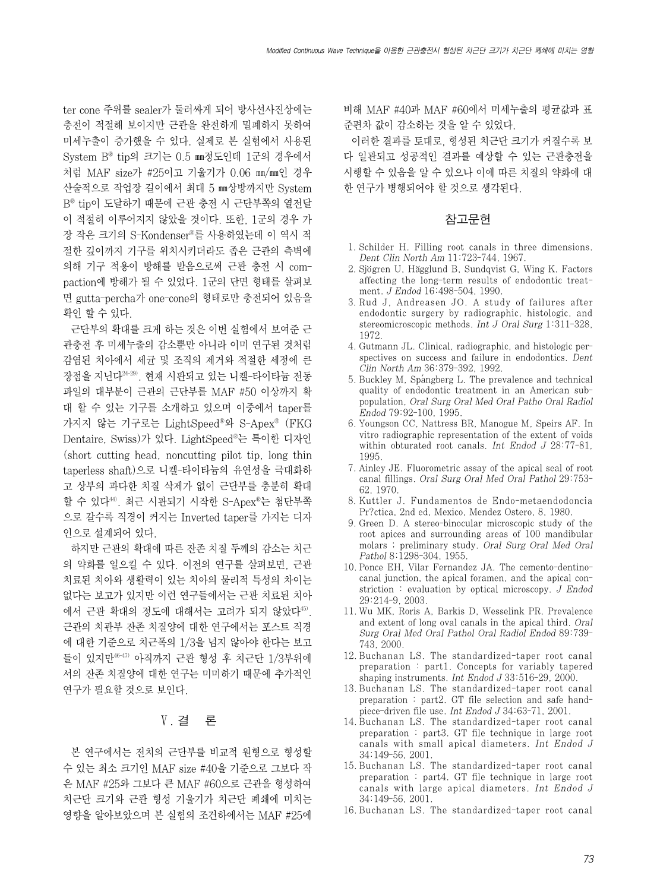ter cone 주위를 sealer가 둘러싸게 되어 방사선사진상에는 충전이 적절해 보이지만 근관을 완전하게 밀폐하지 못하여 미세누출이 증가했을 수 있다. 실제로 본 실험에서 사용된 System B� tip의 크기는 0.5 ㎜정도인데 1군의 경우에서 처럼 MAF size가 #25이고 기울기가 0.06 ㎜/㎜인 경우 산술적으로 작업장 길이에서 최대 5 ㎜상방까지만 System B� tip이 도달하기 때문에 근관 충전 시 근단부쪽의 열전달 이 적절히 이루어지지 않았을 것이다. 또한, 1군의 경우 가 장 작은 크기의 S-Kondenser�를 사용하였는데 이 역시 적 절한 깊이까지 기구를 위치시키더라도 좁은 근관의 측벽에 의해 기구 적용이 방해를 받음으로써 근관 충전 시 compaction에 방해가 될 수 있었다. 1군의 단면 형태를 살펴보 면 gutta-percha가 one-cone의 형태로만 충전되어 있음을 확인 할 수 있다.

근단부의 확대를 크게 하는 것은 이번 실험에서 보여준 근 관충전 후 미세누출의 감소뿐만 아니라 이미 연구된 것처럼 감염된 치아에서 세균 및 조직의 제거와 적절한 세정에 큰 장점을 지닌다24-29). 현재 시판되고 있는 니켈-타이타늄 전동 파일의 대부분이 근관의 근단부를 MAF #50 이상까지 확 대 할 수 있는 기구를 소개하고 있으며 이중에서 taper를 가지지 않는 기구로는 LightSpeed®와 S-Apex® (FKG Dentaire, Swiss)가 있다. LightSpeed�는 특이한 디자인 (short cutting head, noncutting pilot tip, long thin taperless shaft)으로 니켈-타이타늄의 유연성을 극대화하 고 상부의 과다한 치질 삭제가 없이 근단부를 충분히 확대 할 수 있다<sup>44)</sup>. 최근 시판되기 시작한 S-Apex®는 첨단부쪽 으로 갈수록 직경이 커지는 Inverted taper를 가지는 디자 인으로 설계되어 있다.

하지만 근관의 확대에 따른 잔존 치질 두께의 감소는 치근 의 약화를 일으킬 수 있다. 이전의 연구를 살펴보면, 근관 치료된 치아와 생활력이 있는 치아의 물리적 특성의 차이는 없다는 보고가 있지만 이런 연구들에서는 근관 치료된 치아 에서 근관 확대의 정도에 대해서는 고려가 되지 않았다45). 근관의 치관부 잔존 치질양에 대한 연구에서는 포스트 직경 에 대한 기준으로 치근폭의 1/3을 넘지 않아야 한다는 보고 들이 있지만46-47) 아직까지 근관 형성 후 치근단 1/3부위에 서의 잔존 치질양에 대한 연구는 미미하기 때문에 추가적인 연구가 필요할 것으로 보인다.

# Ⅴ. 결 론

본 연구에서는 전치의 근단부를 비교적 원형으로 형성할 수 있는 최소 크기인 MAF size #40을 기준으로 그보다 작 은 MAF #25와 그보다 큰 MAF #60으로 근관을 형성하여 치근단 크기와 근관 형성 기울기가 치근단 폐쇄에 미치는 영향을 알아보았으며 본 실험의 조건하에서는 MAF #25에 비해 MAF #40과 MAF #60에서 미세누출의 평균값과 표 준편차 값이 감소하는 것을 알 수 있었다.

이러한 결과를 토대로, 형성된 치근단 크기가 커질수록 보 다 일관되고 성공적인 결과를 예상할 수 있는 근관충전을 시행할 수 있음을 알 수 있으나 이에 따른 치질의 약화에 대 한 연구가 병행되어야 할 것으로 생각된다.

#### 참고문헌

- 1. Schilder H. Filling root canals in three dimensions. Dent Clin North Am 11:723-744, 1967.
- 2. Sjögren U, Hăgglund B, Sundqvist G, Wing K. Factors affecting the long-term results of endodontic treatment. J Endod 16:498-504, 1990.
- 3. Rud J, Andreasen JO. A study of failures after endodontic surgery by radiographic, histologic, and stereomicroscopic methods. Int J Oral Surg 1:311-328, 1972.
- 4. Gutmann JL. Clinical, radiographic, and histologic perspectives on success and failure in endodontics. Dent Clin North Am 36:379-392, 1992.
- 5. Buckley M, Spangberg L. The prevalence and technical quality of endodontic treatment in an American subpopulation, Oral Surg Oral Med Oral Patho Oral Radiol Endod 79:92-100, 1995.
- 6. Youngson CC, Nattress BR, Manogue M, Speirs AF. In vitro radiographic representation of the extent of voids within obturated root canals. Int Endod J 28:77-81, 1995.
- 7. Ainley JE. Fluorometric assay of the apical seal of root canal fillings. Oral Surg Oral Med Oral Pathol 29:753- 62, 1970.
- 8. Kuttler J. Fundamentos de Endo-metaendodoncia Pr?ctica, 2nd ed, Mexico, Mendez Ostero, 8, 1980.
- 9. Green D. A stereo-binocular microscopic study of the root apices and surrounding areas of 100 mandibular molars ; preliminary study. Oral Surg Oral Med Oral Pathol 8:1298-304, 1955.
- 10. Ponce EH, Vilar Fernandez JA. The cemento-dentinocanal junction, the apical foramen, and the apical constriction : evaluation by optical microscopy. J Endod 29:214-9, 2003.
- 11. Wu MK, Roris A, Barkis D, Wesselink PR. Prevalence and extent of long oval canals in the apical third. Oral Surg Oral Med Oral Pathol Oral Radiol Endod 89:739- 743, 2000.
- 12. Buchanan LS. The standardized-taper root canal preparation : part1. Concepts for variably tapered shaping instruments. Int Endod J 33:516-29, 2000.
- 13. Buchanan LS. The standardized-taper root canal preparation : part2. GT file selection and safe handpiece-driven file use. Int Endod J 34:63-71, 2001.
- 14. Buchanan LS. The standardized-taper root canal preparation : part3. GT file technique in large root canals with small apical diameters. Int Endod J 34:149-56, 2001.
- 15. Buchanan LS. The standardized-taper root canal preparation : part4. GT file technique in large root canals with large apical diameters. Int Endod J 34:149-56, 2001.
- 16. Buchanan LS. The standardized-taper root canal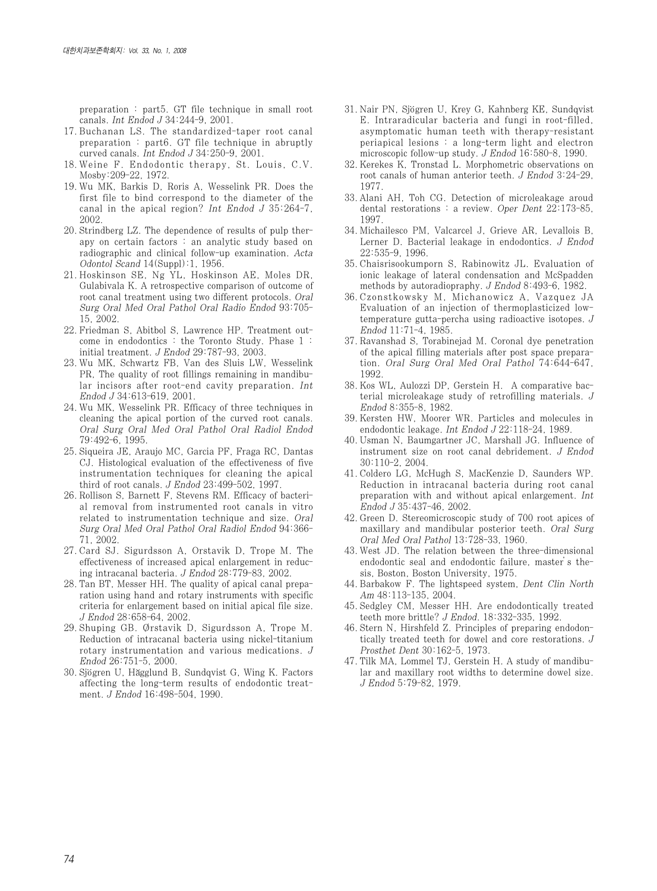preparation : part5. GT file technique in small root canals. Int Endod J 34:244-9, 2001.

- 17. Buchanan LS. The standardized-taper root canal preparation : part6. GT file technique in abruptly curved canals. Int Endod J 34:250-9, 2001.
- 18. Weine F. Endodontic therapy, St. Louis, C.V. Mosby:209-22, 1972.
- 19. Wu MK, Barkis D, Roris A, Wesselink PR. Does the first file to bind correspond to the diameter of the canal in the apical region? Int Endod J 35:264-7, 2002.
- 20. Strindberg LZ. The dependence of results of pulp therapy on certain factors : an analytic study based on radiographic and clinical follow-up examination. Acta Odontol Scand 14(Suppl):1, 1956.
- 21. Hoskinson SE, Ng YL, Hoskinson AE, Moles DR, Gulabivala K. A retrospective comparison of outcome of root canal treatment using two different protocols. Oral Surg Oral Med Oral Pathol Oral Radio Endod 93:705- 15, 2002.
- 22. Friedman S, Abitbol S, Lawrence HP. Treatment outcome in endodontics : the Toronto Study. Phase 1 : initial treatment. J Endod 29:787-93, 2003.
- 23. Wu MK, Schwartz FB, Van des Sluis LW, Wesselink PR, The quality of root fillings remaining in mandibular incisors after root-end cavity preparation. Int Endod J 34:613-619, 2001.
- 24. Wu MK, Wesselink PR. Efficacy of three techniques in cleaning the apical portion of the curved root canals. Oral Surg Oral Med Oral Pathol Oral Radiol Endod 79:492-6, 1995.
- 25. Siqueira JE, Araujo MC, Garcia PF, Fraga RC, Dantas CJ. Histological evaluation of the effectiveness of five instrumentation techniques for cleaning the apical third of root canals. J Endod 23:499-502, 1997.
- 26. Rollison S, Barnett F, Stevens RM. Efficacy of bacterial removal from instrumented root canals in vitro related to instrumentation technique and size. Oral Surg Oral Med Oral Pathol Oral Radiol Endod 94:366- 71, 2002.
- 27. Card SJ. Sigurdsson A, Orstavik D, Trope M. The effectiveness of increased apical enlargement in reducing intracanal bacteria. J Endod 28:779-83, 2002.
- 28. Tan BT, Messer HH. The quality of apical canal preparation using hand and rotary instruments with specific criteria for enlargement based on initial apical file size. J Endod 28:658-64, 2002.
- 29. Shuping GB. Ørstavik D, Sigurdsson A, Trope M. Reduction of intracanal bacteria using nickel-titanium rotary instrumentation and various medications. J Endod 26:751-5, 2000.
- 30. Sjögren U, Hăgglund B, Sundqvist G, Wing K. Factors affecting the long-term results of endodontic treatment. J Endod 16:498-504, 1990.
- 31. Nair PN, Sjögren U, Krey G, Kahnberg KE, Sundqvist E. Intraradicular bacteria and fungi in root-filled, asymptomatic human teeth with therapy-resistant periapical lesions : a long-term light and electron microscopic follow-up study. J Endod 16:580-8, 1990.
- 32. Kerekes K, Tronstad L. Morphometric observations on root canals of human anterior teeth. J Endod 3:24-29, 1977.
- 33. Alani AH, Toh CG. Detection of microleakage aroud dental restorations : a review. Oper Dent 22:173-85, 1997.
- 34. Michailesco PM, Valcarcel J, Grieve AR, Levallois B, Lerner D. Bacterial leakage in endodontics. J Endod 22:535-9, 1996.
- 35. Chaisrisookumporn S, Rabinowitz JL. Evaluation of ionic leakage of lateral condensation and McSpadden methods by autoradiopraphy. J Endod 8:493-6, 1982.
- 36. Czonstkowsky M, Michanowicz A, Vazquez JA Evaluation of an injection of thermoplasticized lowtemperature gutta-percha using radioactive isotopes. J Endod 11:71-4, 1985.
- 37. Ravanshad S, Torabinejad M. Coronal dye penetration of the apical filling materials after post space preparation. Oral Surg Oral Med Oral Pathol 74:644-647, 1992.
- 38. Kos WL, Aulozzi DP, Gerstein H. A comparative bacterial microleakage study of retrofilling materials. J Endod 8:355-8, 1982.
- 39. Kersten HW, Moorer WR. Particles and molecules in endodontic leakage. Int Endod J 22:118-24, 1989.
- 40. Usman N, Baumgartner JC, Marshall JG. Influence of instrument size on root canal debridement. J Endod 30:110-2, 2004.
- 41. Coldero LG, McHugh S, MacKenzie D, Saunders WP. Reduction in intracanal bacteria during root canal preparation with and without apical enlargement. Int Endod J 35:437-46, 2002.
- 42. Green D. Stereomicroscopic study of 700 root apices of maxillary and mandibular posterior teeth. Oral Surg Oral Med Oral Pathol 13:728-33, 1960.
- 43. West JD. The relation between the three-dimensional endodontic seal and endodontic failure, master's thesis, Boston, Boston University, 1975.
- 44. Barbakow F. The lightspeed system, Dent Clin North Am 48:113-135, 2004.
- 45. Sedgley CM, Messer HH. Are endodontically treated teeth more brittle? J Endod. 18:332-335, 1992.
- 46. Stern N, Hirshfeld Z. Principles of preparing endodontically treated teeth for dowel and core restorations. J Prosthet Dent 30:162-5, 1973.
- 47. Tilk MA, Lommel TJ, Gerstein H. A study of mandibular and maxillary root widths to determine dowel size. J Endod 5:79-82, 1979.